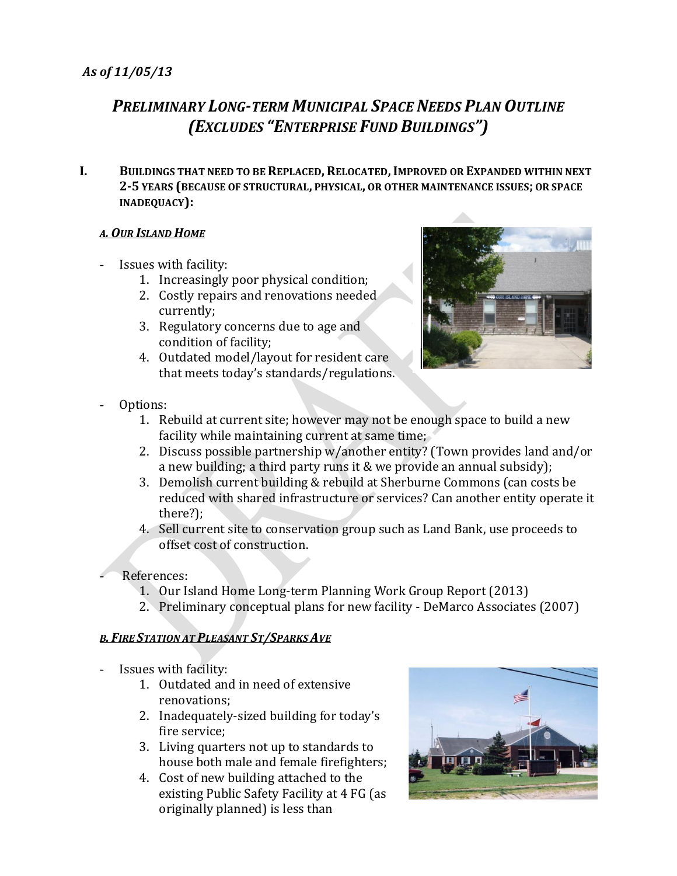# *PRELIMINARY LONG-TERM MUNICIPAL SPACE NEEDS PLAN OUTLINE (EXCLUDES "ENTERPRISE FUND BUILDINGS")*

**I. BUILDINGS THAT NEED TO BE REPLACED,RELOCATED,IMPROVED OR EXPANDED WITHIN NEXT 2-5 YEARS (BECAUSE OF STRUCTURAL, PHYSICAL, OR OTHER MAINTENANCE ISSUES; OR SPACE INADEQUACY):**

## *A. OUR ISLAND HOME*

- Issues with facility:
	- 1. Increasingly poor physical condition;
	- 2. Costly repairs and renovations needed currently;
	- 3. Regulatory concerns due to age and condition of facility;
	- 4. Outdated model/layout for resident care that meets today's standards/regulations.



- Options:
	- 1. Rebuild at current site; however may not be enough space to build a new facility while maintaining current at same time;
	- 2. Discuss possible partnership w/another entity? (Town provides land and/or a new building; a third party runs it & we provide an annual subsidy);
	- 3. Demolish current building & rebuild at Sherburne Commons (can costs be reduced with shared infrastructure or services? Can another entity operate it there?);
	- 4. Sell current site to conservation group such as Land Bank, use proceeds to offset cost of construction.
- References:
	- 1. Our Island Home Long-term Planning Work Group Report (2013)
	- 2. Preliminary conceptual plans for new facility DeMarco Associates (2007)

## *B. FIRE STATION AT PLEASANT ST/SPARKS AVE*

- Issues with facility:
	- 1. Outdated and in need of extensive renovations;
	- 2. Inadequately-sized building for today's fire service;
	- 3. Living quarters not up to standards to house both male and female firefighters;
	- 4. Cost of new building attached to the existing Public Safety Facility at 4 FG (as originally planned) is less than

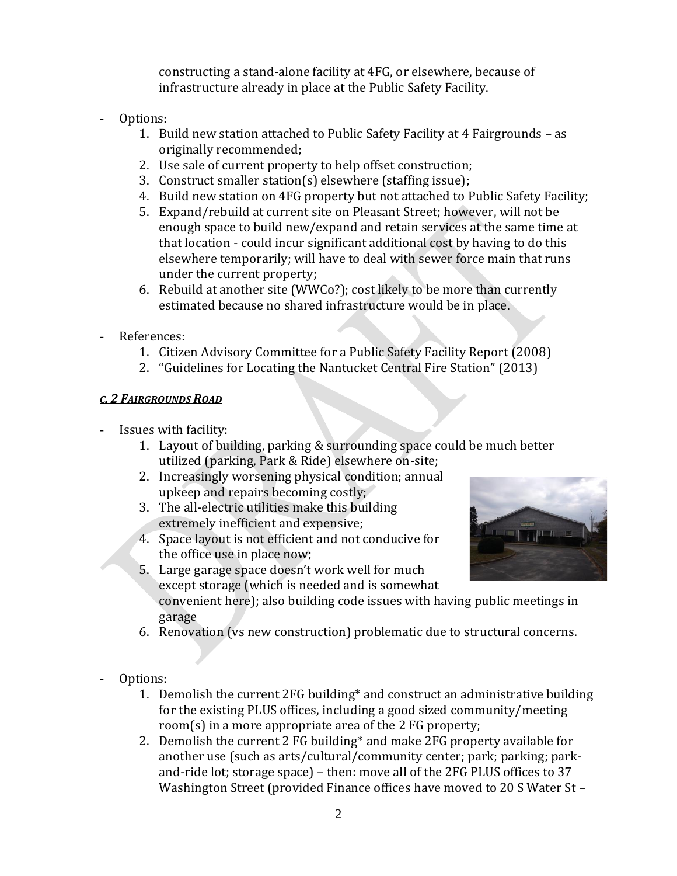constructing a stand-alone facility at 4FG, or elsewhere, because of infrastructure already in place at the Public Safety Facility.

- Options:
	- 1. Build new station attached to Public Safety Facility at 4 Fairgrounds as originally recommended;
	- 2. Use sale of current property to help offset construction;
	- 3. Construct smaller station(s) elsewhere (staffing issue);
	- 4. Build new station on 4FG property but not attached to Public Safety Facility;
	- 5. Expand/rebuild at current site on Pleasant Street; however, will not be enough space to build new/expand and retain services at the same time at that location - could incur significant additional cost by having to do this elsewhere temporarily; will have to deal with sewer force main that runs under the current property;
	- 6. Rebuild at another site (WWCo?); cost likely to be more than currently estimated because no shared infrastructure would be in place.
- References:
	- 1. Citizen Advisory Committee for a Public Safety Facility Report (2008)
	- 2. "Guidelines for Locating the Nantucket Central Fire Station" (2013)

## *C. 2 FAIRGROUNDS ROAD*

- Issues with facility:
	- 1. Layout of building, parking & surrounding space could be much better utilized (parking, Park & Ride) elsewhere on-site;
	- 2. Increasingly worsening physical condition; annual upkeep and repairs becoming costly;
	- 3. The all-electric utilities make this building extremely inefficient and expensive;
	- 4. Space layout is not efficient and not conducive for the office use in place now;



- 5. Large garage space doesn't work well for much except storage (which is needed and is somewhat
	- convenient here); also building code issues with having public meetings in garage
- 6. Renovation (vs new construction) problematic due to structural concerns.
- Options:
	- 1. Demolish the current 2FG building\* and construct an administrative building for the existing PLUS offices, including a good sized community/meeting room(s) in a more appropriate area of the 2 FG property;
	- 2. Demolish the current 2 FG building\* and make 2FG property available for another use (such as arts/cultural/community center; park; parking; parkand-ride lot; storage space) – then: move all of the 2FG PLUS offices to 37 Washington Street (provided Finance offices have moved to 20 S Water St –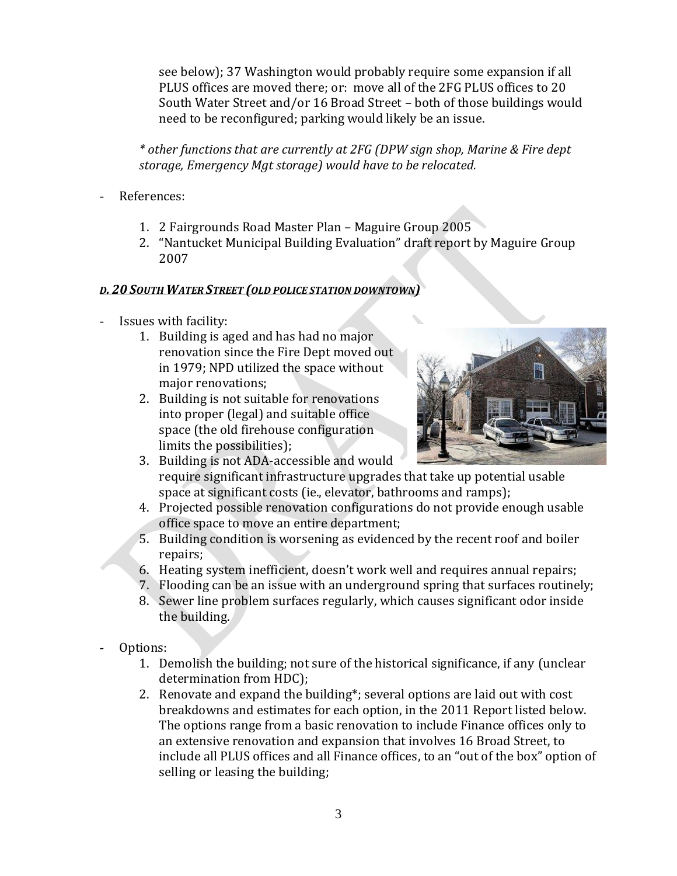see below); 37 Washington would probably require some expansion if all PLUS offices are moved there; or: move all of the 2FG PLUS offices to 20 South Water Street and/or 16 Broad Street – both of those buildings would need to be reconfigured; parking would likely be an issue.

*\* other functions that are currently at 2FG (DPW sign shop, Marine & Fire dept storage, Emergency Mgt storage) would have to be relocated.*

- References:
	- 1. 2 Fairgrounds Road Master Plan Maguire Group 2005
	- 2. "Nantucket Municipal Building Evaluation" draft report by Maguire Group 2007

## *D. 20 SOUTH WATER STREET (OLD POLICE STATION DOWNTOWN)*

- Issues with facility:
	- 1. Building is aged and has had no major renovation since the Fire Dept moved out in 1979; NPD utilized the space without major renovations;
	- 2. Building is not suitable for renovations into proper (legal) and suitable office space (the old firehouse configuration limits the possibilities);



- 3. Building is not ADA-accessible and would require significant infrastructure upgrades that take up potential usable space at significant costs (ie., elevator, bathrooms and ramps);
- 4. Projected possible renovation configurations do not provide enough usable office space to move an entire department;
- 5. Building condition is worsening as evidenced by the recent roof and boiler repairs;
- 6. Heating system inefficient, doesn't work well and requires annual repairs;
- 7. Flooding can be an issue with an underground spring that surfaces routinely;
- 8. Sewer line problem surfaces regularly, which causes significant odor inside the building.
- Options:
	- 1. Demolish the building; not sure of the historical significance, if any (unclear determination from HDC);
	- 2. Renovate and expand the building\*; several options are laid out with cost breakdowns and estimates for each option, in the 2011 Report listed below. The options range from a basic renovation to include Finance offices only to an extensive renovation and expansion that involves 16 Broad Street, to include all PLUS offices and all Finance offices, to an "out of the box" option of selling or leasing the building;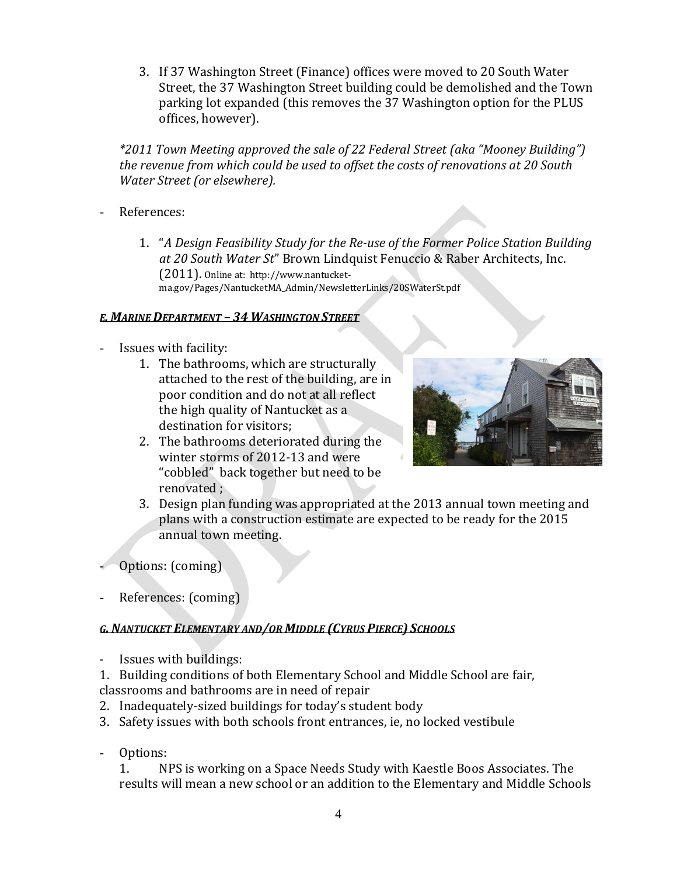3. If 37 Washington Street (Finance) offices were moved to 20 South Water Street, the 37 Washington Street building could be demolished and the Town parking lot expanded (this removes the 37 Washington option for the PLUS offices, however).

*\*2011 Town Meeting approved the sale of 22 Federal Street (aka "Mooney Building") the revenue from which could be used to offset the costs of renovations at 20 South Water Street (or elsewhere).*

- References:
	- 1. "*A Design Feasibility Study for the Re-use of the Former Police Station Building at 20 South Water St*" Brown Lindquist Fenuccio & Raber Architects, Inc. (2011). Online at: http://www.nantucketma.gov/Pages/NantucketMA\_Admin/NewsletterLinks/20SWaterSt.pdf

#### *E. MARINE DEPARTMENT – 34 WASHINGTON STREET*

- Issues with facility:
	- 1. The bathrooms, which are structurally attached to the rest of the building, are in poor condition and do not at all reflect the high quality of Nantucket as a destination for visitors;
	- 2. The bathrooms deteriorated during the winter storms of 2012-13 and were "cobbled" back together but need to be renovated ;



- 3. Design plan funding was appropriated at the 2013 annual town meeting and plans with a construction estimate are expected to be ready for the 2015 annual town meeting.
- Options: (coming)
- References: (coming)

## *G. NANTUCKET ELEMENTARY AND/OR MIDDLE (CYRUS PIERCE) SCHOOLS*

Issues with buildings:

1. Building conditions of both Elementary School and Middle School are fair,

classrooms and bathrooms are in need of repair

- 2. Inadequately-sized buildings for today's student body
- 3. Safety issues with both schools front entrances, ie, no locked vestibule
- Options:

1. NPS is working on a Space Needs Study with Kaestle Boos Associates. The results will mean a new school or an addition to the Elementary and Middle Schools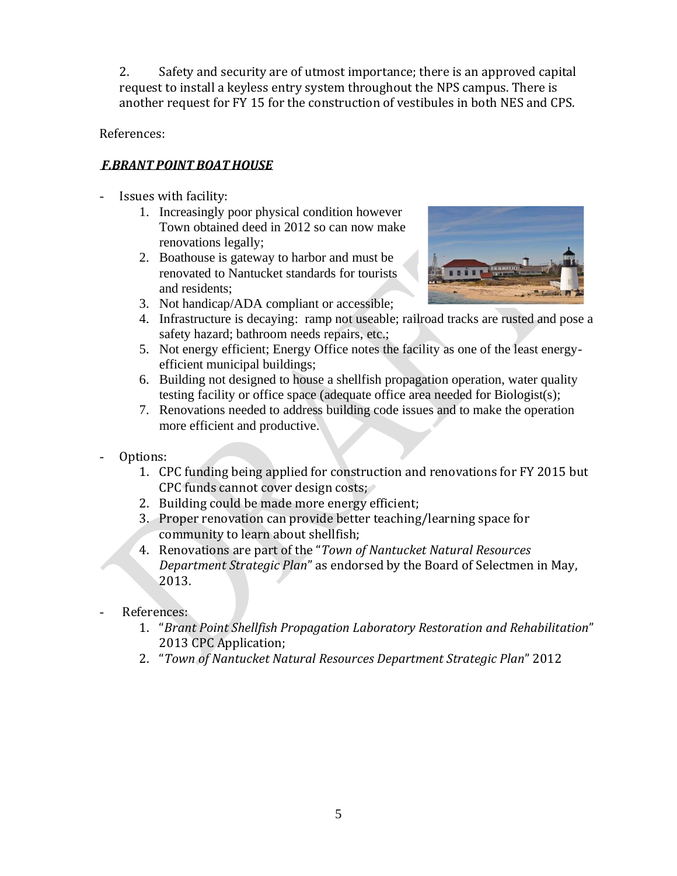2. Safety and security are of utmost importance; there is an approved capital request to install a keyless entry system throughout the NPS campus. There is another request for FY 15 for the construction of vestibules in both NES and CPS.

References:

# *F.BRANT POINT BOATHOUSE*

- Issues with facility:
	- 1. Increasingly poor physical condition however Town obtained deed in 2012 so can now make renovations legally;
	- 2. Boathouse is gateway to harbor and must be renovated to Nantucket standards for tourists and residents;



- 3. Not handicap/ADA compliant or accessible;
- 4. Infrastructure is decaying: ramp not useable; railroad tracks are rusted and pose a safety hazard; bathroom needs repairs, etc.;
- 5. Not energy efficient; Energy Office notes the facility as one of the least energyefficient municipal buildings;
- 6. Building not designed to house a shellfish propagation operation, water quality testing facility or office space (adequate office area needed for Biologist(s);
- 7. Renovations needed to address building code issues and to make the operation more efficient and productive.
- Options:
	- 1. CPC funding being applied for construction and renovations for FY 2015 but CPC funds cannot cover design costs;
	- 2. Building could be made more energy efficient;
	- 3. Proper renovation can provide better teaching/learning space for community to learn about shellfish;
	- 4. Renovations are part of the "*Town of Nantucket Natural Resources Department Strategic Plan*" as endorsed by the Board of Selectmen in May, 2013.
- References:
	- 1. "*Brant Point Shellfish Propagation Laboratory Restoration and Rehabilitation*" 2013 CPC Application;
	- 2. "*Town of Nantucket Natural Resources Department Strategic Plan*" 2012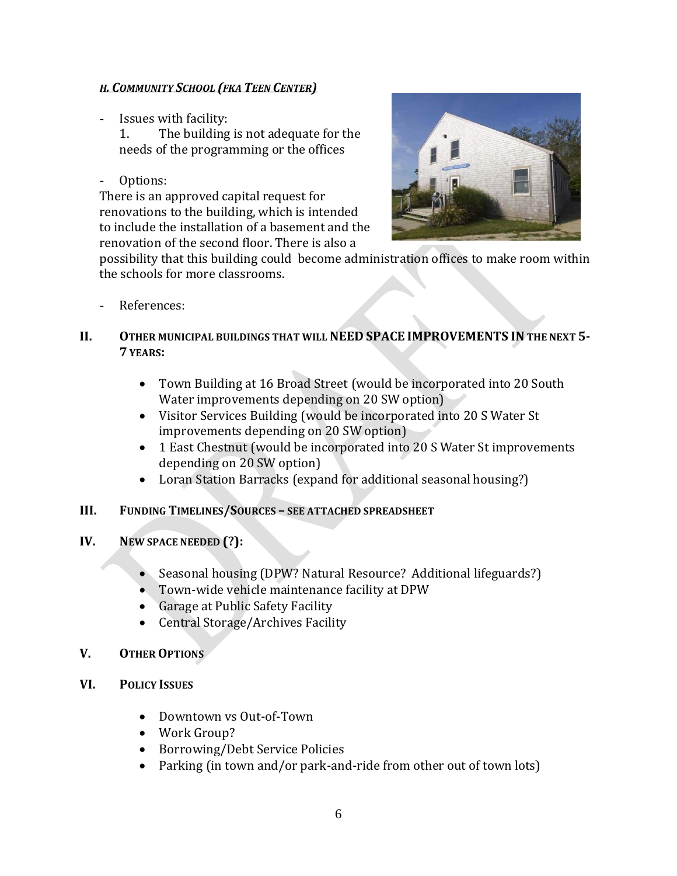#### *H. COMMUNITY SCHOOL (FKA TEEN CENTER)*

- Issues with facility:

1. The building is not adequate for the needs of the programming or the offices

Options:

There is an approved capital request for renovations to the building, which is intended to include the installation of a basement and the renovation of the second floor. There is also a



possibility that this building could become administration offices to make room within the schools for more classrooms.

- References:
- **II. OTHER MUNICIPAL BUILDINGS THAT WILL NEED SPACE IMPROVEMENTS IN THE NEXT 5- 7 YEARS:**
	- Town Building at 16 Broad Street (would be incorporated into 20 South Water improvements depending on 20 SW option)
	- Visitor Services Building (would be incorporated into 20 S Water St improvements depending on 20 SW option)
	- 1 East Chestnut (would be incorporated into 20 S Water St improvements depending on 20 SW option)
	- Loran Station Barracks (expand for additional seasonal housing?)

## **III. FUNDING TIMELINES/SOURCES – SEE ATTACHED SPREADSHEET**

## **IV. NEW SPACE NEEDED (?):**

- Seasonal housing (DPW? Natural Resource? Additional lifeguards?)
- Town-wide vehicle maintenance facility at DPW
- Garage at Public Safety Facility
- Central Storage/Archives Facility

## **V. OTHER OPTIONS**

- **VI. POLICY ISSUES**
	- Downtown vs Out-of-Town
	- Work Group?
	- Borrowing/Debt Service Policies
	- Parking (in town and/or park-and-ride from other out of town lots)